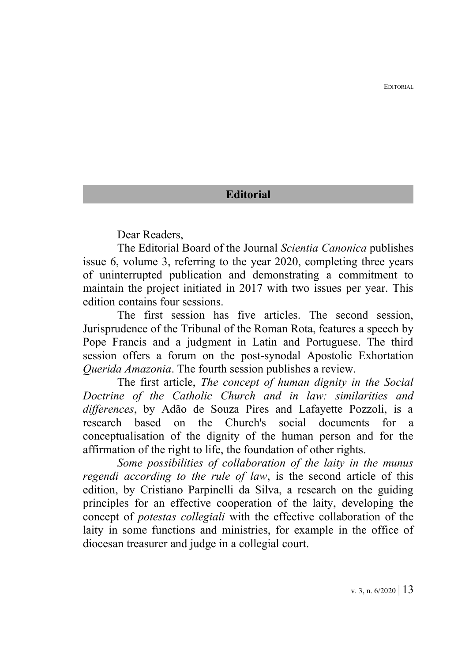EDITORIAL

## **Editorial**

Dear Readers,

The Editorial Board of the Journal *Scientia Canonica* publishes issue 6, volume 3, referring to the year 2020, completing three years of uninterrupted publication and demonstrating a commitment to maintain the project initiated in 2017 with two issues per year. This edition contains four sessions.

The first session has five articles. The second session, Jurisprudence of the Tribunal of the Roman Rota, features a speech by Pope Francis and a judgment in Latin and Portuguese. The third session offers a forum on the post-synodal Apostolic Exhortation *Querida Amazonia*. The fourth session publishes a review.

The first article, *The concept of human dignity in the Social Doctrine of the Catholic Church and in law: similarities and differences*, by Adão de Souza Pires and Lafayette Pozzoli, is a research based on the Church's social documents for a conceptualisation of the dignity of the human person and for the affirmation of the right to life, the foundation of other rights.

*Some possibilities of collaboration of the laity in the munus regendi according to the rule of law*, is the second article of this edition, by Cristiano Parpinelli da Silva, a research on the guiding principles for an effective cooperation of the laity, developing the concept of *potestas collegiali* with the effective collaboration of the laity in some functions and ministries, for example in the office of diocesan treasurer and judge in a collegial court.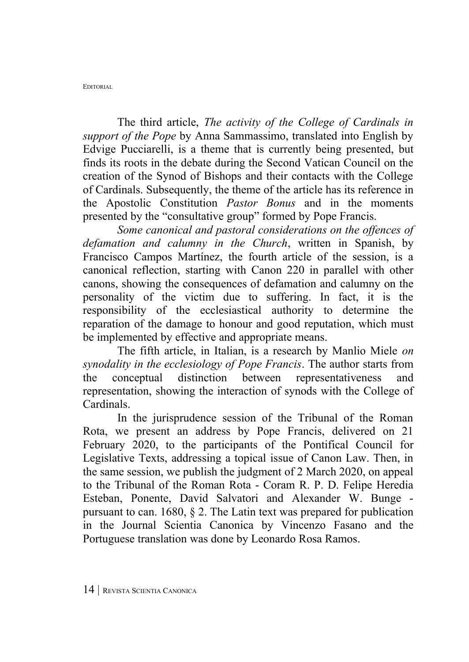The third article, *The activity of the College of Cardinals in support of the Pope* by Anna Sammassimo, translated into English by Edvige Pucciarelli, is a theme that is currently being presented, but finds its roots in the debate during the Second Vatican Council on the creation of the Synod of Bishops and their contacts with the College of Cardinals. Subsequently, the theme of the article has its reference in the Apostolic Constitution *Pastor Bonus* and in the moments presented by the "consultative group" formed by Pope Francis.

*Some canonical and pastoral considerations on the offences of defamation and calumny in the Church*, written in Spanish, by Francisco Campos Martínez, the fourth article of the session, is a canonical reflection, starting with Canon 220 in parallel with other canons, showing the consequences of defamation and calumny on the personality of the victim due to suffering. In fact, it is the responsibility of the ecclesiastical authority to determine the reparation of the damage to honour and good reputation, which must be implemented by effective and appropriate means.

The fifth article, in Italian, is a research by Manlio Miele *on synodality in the ecclesiology of Pope Francis*. The author starts from the conceptual distinction between representativeness and representation, showing the interaction of synods with the College of Cardinals.

In the jurisprudence session of the Tribunal of the Roman Rota, we present an address by Pope Francis, delivered on 21 February 2020, to the participants of the Pontifical Council for Legislative Texts, addressing a topical issue of Canon Law. Then, in the same session, we publish the judgment of 2 March 2020, on appeal to the Tribunal of the Roman Rota - Coram R. P. D. Felipe Heredia Esteban, Ponente, David Salvatori and Alexander W. Bunge pursuant to can. 1680, § 2. The Latin text was prepared for publication in the Journal Scientia Canonica by Vincenzo Fasano and the Portuguese translation was done by Leonardo Rosa Ramos.